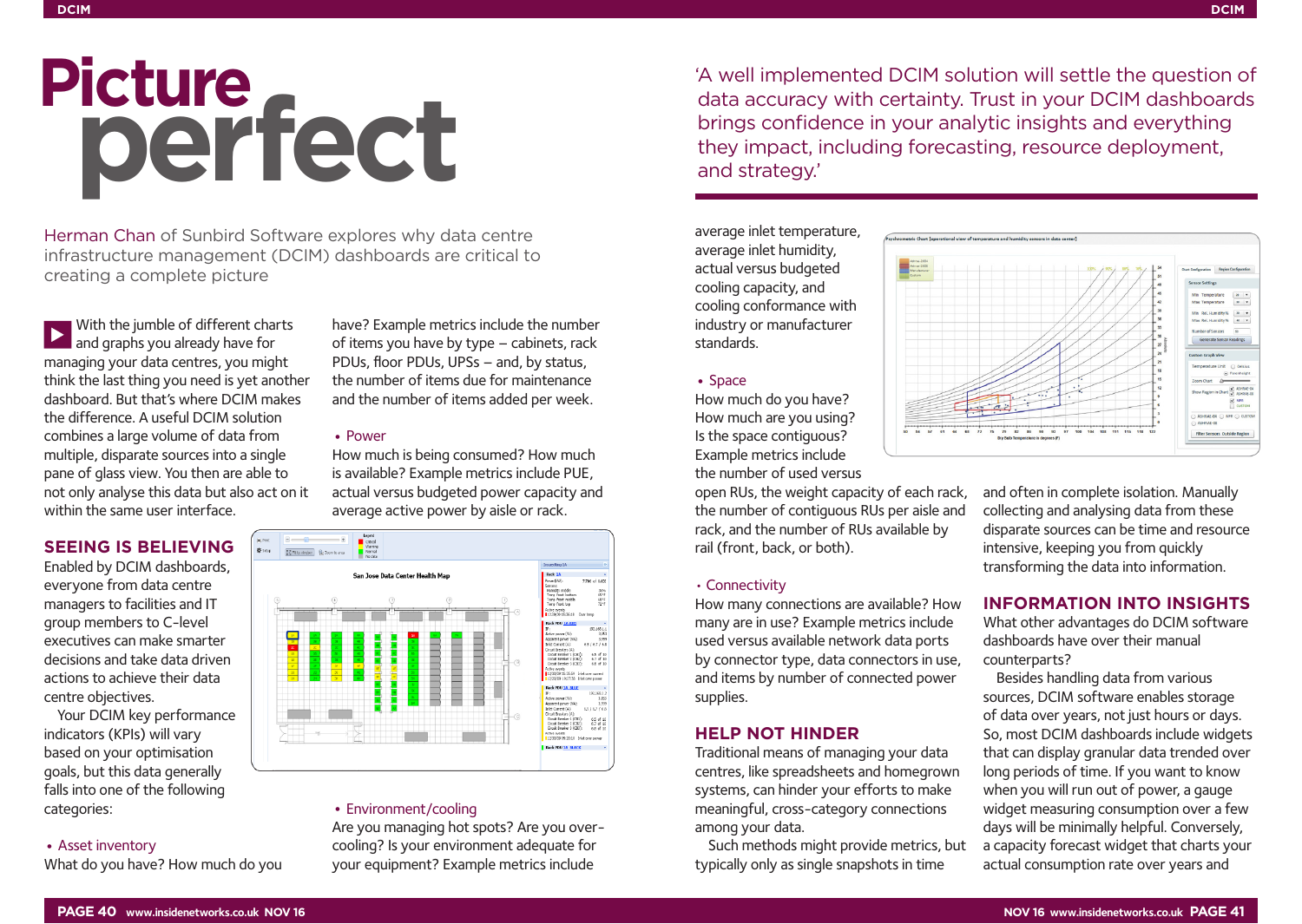# Picture<br>**perfect**

Herman Chan of Sunbird Software explores why data centre infrastructure management (DCIM) dashboards are critical to creating a complete picture

With the jumble of different charts and graphs you already have for managing your data centres, you might think the last thing you need is yet another dashboard. But that's where DCIM makes the difference. A useful DCIM solution combines a large volume of data from multiple, disparate sources into a single pane of glass view. You then are able to not only analyse this data but also act on it within the same user interface.

# **SEEING IS BELIEVING**

Enabled by DCIM dashboards, everyone from data centre managers to facilities and IT group members to C-level executives can make smarter decisions and take data driven actions to achieve their data centre objectives.

Your DCIM key performance indicators (KPIs) will vary based on your optimisation goals, but this data generally falls into one of the following categories:

## • Asset inventory

What do you have? How much do you

have? Example metrics include the number of items you have by type – cabinets, rack PDUs, floor PDUs, UPSs – and, by status, the number of items due for maintenance and the number of items added per week.

## • Power

How much is being consumed? How much is available? Example metrics include PUE, actual versus budgeted power capacity and average active power by aisle or rack.



## • Environment/cooling

Are you managing hot spots? Are you overcooling? Is your environment adequate for your equipment? Example metrics include

'A well implemented DCIM solution will settle the question of data accuracy with certainty. Trust in your DCIM dashboards brings confidence in your analytic insights and everything they impact, including forecasting, resource deployment, and strategy.'

average inlet temperature, average inlet humidity, actual versus budgeted cooling capacity, and cooling conformance with industry or manufacturer standards.

## • Space

How much do you have? How much are you using? Is the space contiguous? Example metrics include the number of used versus

open RUs, the weight capacity of each rack, the number of contiguous RUs per aisle and rack, and the number of RUs available by rail (front, back, or both).

### • Connectivity

How many connections are available? How many are in use? Example metrics include used versus available network data ports by connector type, data connectors in use, and items by number of connected power supplies.

## **HELP NOT HINDER**

Traditional means of managing your data centres, like spreadsheets and homegrown systems, can hinder your efforts to make meaningful, cross-category connections among your data.

Such methods might provide metrics, but typically only as single snapshots in time



and often in complete isolation. Manually collecting and analysing data from these disparate sources can be time and resource intensive, keeping you from quickly transforming the data into information.

# **INFORMATION INTO INSIGHTS**

What other advantages do DCIM software dashboards have over their manual counterparts?

Besides handling data from various sources, DCIM software enables storage of data over years, not just hours or days. So, most DCIM dashboards include widgets that can display granular data trended over long periods of time. If you want to know when you will run out of power, a gauge widget measuring consumption over a few days will be minimally helpful. Conversely, a capacity forecast widget that charts your actual consumption rate over years and